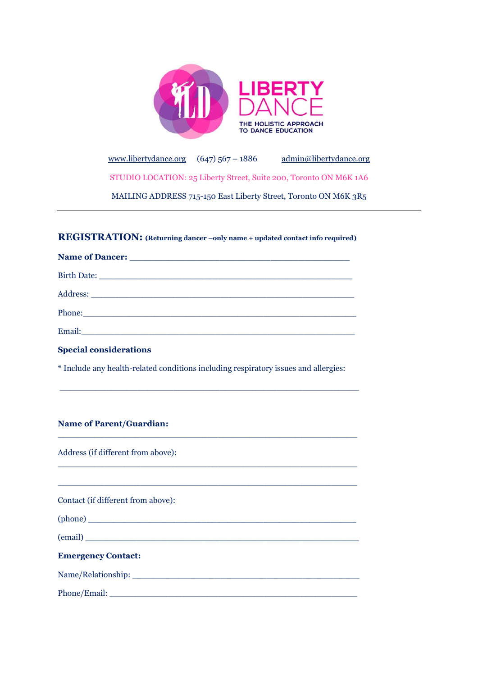

[www.libertydance.org](http://www.libertydance.org/)  $(647)$  567 – 1886 [admin@libertydance.org](mailto:admin@libertydance.org) STUDIO LOCATION: 25 Liberty Street, Suite 200, Toronto ON M6K 1A6 MAILING ADDRESS 715-150 East Liberty Street, Toronto ON M6K 3R5

# **REGISTRATION: (Returning dancer –only name + updated contact info required)**

| Phone: Note and the second contract of the second contract of the second contract of the second contract of the second contract of the second contract of the second contract of the second contract of the second contract of       |  |
|--------------------------------------------------------------------------------------------------------------------------------------------------------------------------------------------------------------------------------------|--|
| Email: <u>Constantino and Constantino and Constantino and Constantino and Constantino and Constantino and Constantino and Constantino and Constantino and Constantino and Constantino and Constantino and Constantino and Consta</u> |  |
| <b>Special considerations</b>                                                                                                                                                                                                        |  |

\* Include any health-related conditions including respiratory issues and allergies:

 $\_$  . The contribution of the contribution of  $\mathcal{L}_\mathcal{A}$  , and the contribution of  $\mathcal{L}_\mathcal{A}$  , and the contribution of  $\mathcal{L}_\mathcal{A}$ 

 $\_$  , and the state of the state of the state of the state of the state of the state of the state of the state of the state of the state of the state of the state of the state of the state of the state of the state of the

\_\_\_\_\_\_\_\_\_\_\_\_\_\_\_\_\_\_\_\_\_\_\_\_\_\_\_\_\_\_\_\_\_\_\_\_\_\_\_\_\_\_\_\_\_\_\_\_\_\_\_\_\_\_\_\_\_\_

 $\_$  , and the set of the set of the set of the set of the set of the set of the set of the set of the set of the set of the set of the set of the set of the set of the set of the set of the set of the set of the set of th

### **Name of Parent/Guardian:**

Address (if different from above):

Contact (if different from above):

 $(phone)$ 

 $(email)$ 

# **Emergency Contact:**

Name/Relationship: \_\_\_\_\_\_\_\_\_\_\_\_\_\_\_\_\_\_\_\_\_\_\_\_\_\_\_\_\_\_\_\_\_\_\_\_\_\_\_\_\_\_\_\_

Phone/Email: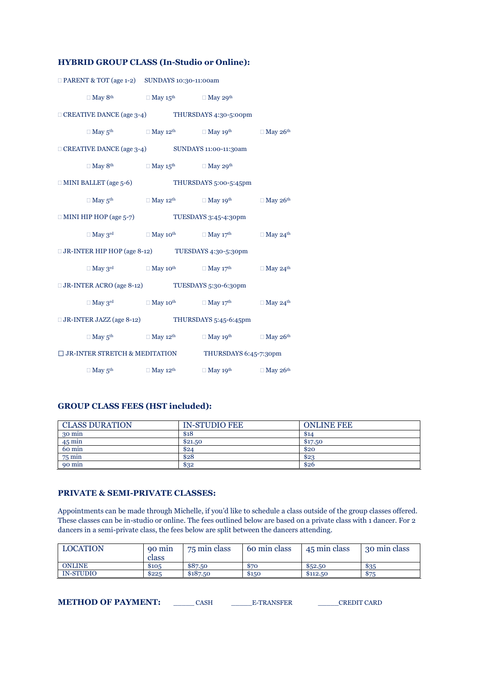### **HYBRID GROUP CLASS (In-Studio or Online):**

| $\Box$ PARENT & TOT (age 1-2) SUNDAYS 10:30-11:00am                                            |                                                                                    |                                                                                                                                                                                                                    |  |
|------------------------------------------------------------------------------------------------|------------------------------------------------------------------------------------|--------------------------------------------------------------------------------------------------------------------------------------------------------------------------------------------------------------------|--|
|                                                                                                | $\Box$ May 8 <sup>th</sup> $\Box$ May 15 <sup>th</sup> $\Box$ May 29 <sup>th</sup> |                                                                                                                                                                                                                    |  |
| $\Box$ CREATIVE DANCE (age 3-4) THURSDAYS 4:30-5:00pm                                          |                                                                                    |                                                                                                                                                                                                                    |  |
|                                                                                                |                                                                                    | $\Box$ May $5^{\text{th}}$ $\Box$ May $12^{\text{th}}$ $\Box$ May $19^{\text{th}}$ $\Box$ May $26^{\text{th}}$                                                                                                     |  |
| □ CREATIVE DANCE (age 3-4) SUNDAYS 11:00-11:30am                                               |                                                                                    |                                                                                                                                                                                                                    |  |
|                                                                                                | $\Box$ May 8 <sup>th</sup> $\Box$ May 15 <sup>th</sup> $\Box$ May 29 <sup>th</sup> |                                                                                                                                                                                                                    |  |
| $\Box$ MINI BALLET (age 5-6) THURSDAYS 5:00-5:45pm                                             |                                                                                    |                                                                                                                                                                                                                    |  |
|                                                                                                |                                                                                    | $\Box$ May $5^{th}$ $\Box$ May $12^{th}$ $\Box$ May $19^{th}$ $\Box$ May $26^{th}$                                                                                                                                 |  |
| $\Box$ MINI HIP HOP (age 5-7) TUESDAYS 3:45-4:30pm                                             |                                                                                    |                                                                                                                                                                                                                    |  |
|                                                                                                |                                                                                    | $\square \ \mathbf{May\ } 3^{\mathrm{rd}} \qquad \qquad \square \ \mathbf{May\ } 10^{\mathrm{th}} \qquad \qquad \square \ \mathbf{May\ } 17^{\mathrm{th}} \qquad \qquad \square \ \mathbf{May\ } 24^{\mathrm{th}}$ |  |
| □ JR-INTER HIP HOP (age 8-12) TUESDAYS 4:30-5:30pm                                             |                                                                                    |                                                                                                                                                                                                                    |  |
|                                                                                                |                                                                                    | $\Box$ May $3^{\rm rd}$ $\hfill \Box$ May $10^{\rm th}$ $\hfill \Box$ May $17^{\rm th}$ $\hfill \Box$ May $24^{\rm th}$                                                                                            |  |
| $\square$ JR-INTER ACRO (age 8-12) $\hspace{1.6cm} \text{TUESDAYS}\;5:30\text{-}6:30\text{pm}$ |                                                                                    |                                                                                                                                                                                                                    |  |
|                                                                                                |                                                                                    | $\Box$ May 3 <sup>rd</sup> $\Box$ May 10 <sup>th</sup> $\Box$ May 17 <sup>th</sup> $\Box$ May 24 <sup>th</sup>                                                                                                     |  |
| $\Box$ JR-INTER JAZZ (age 8-12) THURSDAYS 5:45-6:45pm                                          |                                                                                    |                                                                                                                                                                                                                    |  |
|                                                                                                |                                                                                    | $\Box$ May $5^{\text{th}}$ $\Box$ May $12^{\text{th}}$ $\Box$ May $19^{\text{th}}$ $\Box$ May $26^{\text{th}}$                                                                                                     |  |
| $\Box$ JR-INTER STRETCH & MEDITATION THURSDAYS 6:45-7:30pm                                     |                                                                                    |                                                                                                                                                                                                                    |  |
|                                                                                                |                                                                                    | $\Box$ May $5^{\text{th}}$ $\Box$ May $12^{\text{th}}$ $\Box$ May $19^{\text{th}}$ $\Box$ May $26^{\text{th}}$                                                                                                     |  |

### **GROUP CLASS FEES (HST included):**

| <b>CLASS DURATION</b> | <b>IN-STUDIO FEE</b> | <b>ONLINE FEE</b> |
|-----------------------|----------------------|-------------------|
| 30 min                | \$18                 | \$14              |
| $45 \text{ min}$      | \$21.50              | \$17.50           |
| 60 min                | \$24                 | \$20              |
| $75 \text{ min}$      | \$28                 | \$23              |
| 90 min                | \$32                 | \$26              |

#### **PRIVATE & SEMI-PRIVATE CLASSES:**

Appointments can be made through Michelle, if you'd like to schedule a class outside of the group classes offered. These classes can be in-studio or online. The fees outlined below are based on a private class with 1 dancer. For 2 dancers in a semi-private class, the fees below are split between the dancers attending.

| <b>LOCATION</b>  | 90 min<br>class | 75 min class | 60 min class | 45 min class | 30 min class |
|------------------|-----------------|--------------|--------------|--------------|--------------|
| <b>ONLINE</b>    | \$105           | \$87.50      | 870          | \$52.50      | \$35         |
| <b>IN-STUDIO</b> | \$225           | \$187.50     | \$150        | \$112.50     | \$75         |

**METHOD OF PAYMENT:** \_\_\_\_\_\_ CASH \_\_\_\_\_\_\_\_E-TRANSFER \_\_\_\_\_\_\_CREDIT CARD